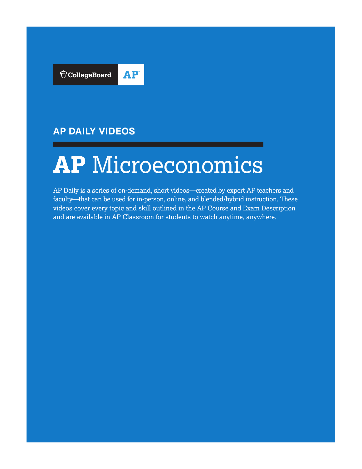

# **AP DAILY VIDEOS**

# **AP** Microeconomics

AP Daily is a series of on-demand, short videos—created by expert AP teachers and faculty—that can be used for in-person, online, and blended/hybrid instruction. These videos cover every topic and skill outlined in the AP Course and Exam Description and are available in AP Classroom for students to watch anytime, anywhere.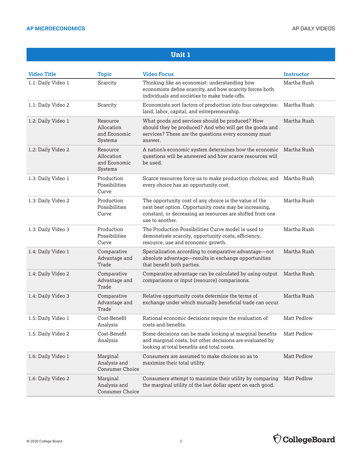| <b>Video Title</b> | <b>Topic</b>                                             | <b>Video Focus</b>                                                                                                                                                                               | <b>Instructor</b>  |
|--------------------|----------------------------------------------------------|--------------------------------------------------------------------------------------------------------------------------------------------------------------------------------------------------|--------------------|
| 1.1: Daily Video 1 | Scarcity                                                 | Thinking like an economist: understanding how<br>economists define scarcity, and how scarcity forces both<br>individuals and societies to make trade-offs.                                       | Martha Rush        |
| 1.1: Daily Video 2 | Scarcity                                                 | Economists sort factors of production into four categories:<br>land, labor, capital, and entrepreneurship.                                                                                       | Martha Rush        |
| 1.2: Daily Video 1 | Resource<br>Allocation<br>and Economic<br><b>Systems</b> | What goods and services should be produced? How<br>should they be produced? And who will get the goods and<br>services? These are the questions every economy must<br>answer.                    | Martha Rush        |
| 1.2: Daily Video 2 | Resource<br>Allocation<br>and Economic<br><b>Systems</b> | A nation's economic system determines how the economic<br>questions will be answered and how scarce resources will<br>be used.                                                                   | Martha Rush        |
| 1.3: Daily Video 1 | Production<br>Possibilities<br>Curve                     | Scarce resources force us to make production choices, and Martha Rush<br>every choice has an opportunity cost.                                                                                   |                    |
| 1.3: Daily Video 2 | Production<br>Possibilities<br>Curve                     | The opportunity cost of any choice is the value of the<br>next best option. Opportunity costs may be increasing,<br>constant, or decreasing as resources are shifted from one<br>use to another. | Martha Rush        |
| 1.3: Daily Video 3 | Production<br>Possibilities<br>Curve                     | The Production Possibilities Curve model is used to<br>demonstrate scarcity, opportunity costs, efficiency,<br>resource, use and economic growth.                                                | Martha Rush        |
| 1.4: Daily Video 1 | Comparative<br>Advantage and<br>Trade                    | Specialization according to comparative advantage—not<br>absolute advantage-results in exchange opportunities<br>that benefit both parties.                                                      | Martha Rush        |
| 1.4: Daily Video 2 | Comparative<br>Advantage and<br>Trade                    | Comparative advantage can be calculated by using output<br>comparisons or input (resource) comparisons.                                                                                          | Martha Rush        |
| 1.4: Daily Video 3 | Comparative<br>Advantage and<br>Trade                    | Relative opportunity costs determine the terms of<br>exchange under which mutually beneficial trade can occur.                                                                                   | Martha Rush        |
| 1.5: Daily Video 1 | Cost-Benefit<br>Analysis                                 | Rational economic decisions require the evaluation of<br>costs and benefits.                                                                                                                     | <b>Matt Pedlow</b> |
| 1.5: Daily Video 2 | Cost-Benefit<br>Analysis                                 | Some decisions can be made looking at marginal benefits<br>and marginal costs, but other decisions are evaluated by<br>looking at total benefits and total costs.                                | Matt Pedlow        |
| 1.6: Daily Video 1 | Marginal<br>Analysis and<br><b>Consumer Choice</b>       | Consumers are assumed to make choices so as to<br>maximize their total utility.                                                                                                                  | Matt Pedlow        |
| 1.6: Daily Video 2 | Marginal<br>Analysis and<br><b>Consumer Choice</b>       | Consumers attempt to maximize their utility by comparing<br>the marginal utility of the last dollar spent on each good.                                                                          | <b>Matt Pedlow</b> |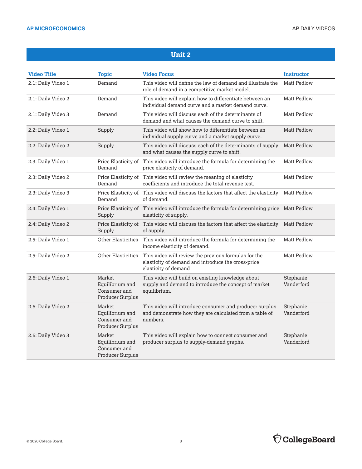| <b>Video Title</b> | Topic                                                         | <b>Video Focus</b>                                                                                                                 | <b>Instructor</b>       |
|--------------------|---------------------------------------------------------------|------------------------------------------------------------------------------------------------------------------------------------|-------------------------|
| 2.1: Daily Video 1 | Demand                                                        | This video will define the law of demand and illustrate the<br>role of demand in a competitive market model.                       | Matt Pedlow             |
| 2.1: Daily Video 2 | Demand                                                        | This video will explain how to differentiate between an<br>individual demand curve and a market demand curve.                      | Matt Pedlow             |
| 2.1: Daily Video 3 | Demand                                                        | This video will discuss each of the determinants of<br>demand and what causes the demand curve to shift.                           | <b>Matt Pedlow</b>      |
| 2.2: Daily Video 1 | Supply                                                        | This video will show how to differentiate between an<br>individual supply curve and a market supply curve.                         | Matt Pedlow             |
| 2.2: Daily Video 2 | Supply                                                        | This video will discuss each of the determinants of supply<br>and what causes the supply curve to shift.                           | <b>Matt Pedlow</b>      |
| 2.3: Daily Video 1 | Demand                                                        | Price Elasticity of This video will introduce the formula for determining the<br>price elasticity of demand.                       | <b>Matt Pedlow</b>      |
| 2.3: Daily Video 2 | Demand                                                        | Price Elasticity of This video will review the meaning of elasticity<br>coefficients and introduce the total revenue test.         | Matt Pedlow             |
| 2.3: Daily Video 3 | Demand                                                        | Price Elasticity of This video will discuss the factors that affect the elasticity<br>of demand.                                   | Matt Pedlow             |
| 2.4: Daily Video 1 | Supply                                                        | Price Elasticity of This video will introduce the formula for determining price Matt Pedlow<br>elasticity of supply.               |                         |
| 2.4: Daily Video 2 | Supply                                                        | Price Elasticity of This video will discuss the factors that affect the elasticity<br>of supply.                                   | <b>Matt Pedlow</b>      |
| 2.5: Daily Video 1 | <b>Other Elasticities</b>                                     | This video will introduce the formula for determining the<br>income elasticity of demand.                                          | Matt Pedlow             |
| 2.5: Daily Video 2 | <b>Other Elasticities</b>                                     | This video will review the previous formulas for the<br>elasticity of demand and introduce the cross-price<br>elasticity of demand | <b>Matt Pedlow</b>      |
| 2.6: Daily Video 1 | Market<br>Equilibrium and<br>Consumer and<br>Producer Surplus | This video will build on existing knowledge about<br>supply and demand to introduce the concept of market<br>equilibrium.          | Stephanie<br>Vanderford |
| 2.6: Daily Video 2 | Market<br>Equilibrium and<br>Consumer and<br>Producer Surplus | This video will introduce consumer and producer surplus<br>and demonstrate how they are calculated from a table of<br>numbers.     | Stephanie<br>Vanderford |
| 2.6: Daily Video 3 | Market<br>Equilibrium and<br>Consumer and<br>Producer Surplus | This video will explain how to connect consumer and<br>producer surplus to supply-demand graphs.                                   | Stephanie<br>Vanderford |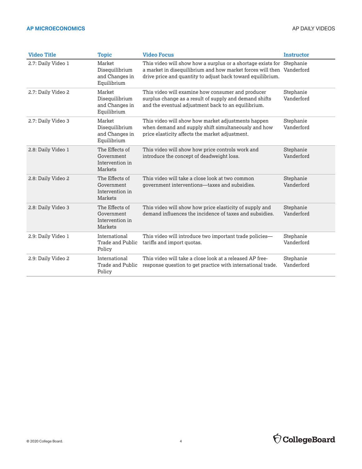#### **AP MICROECONOMICS** AP DAILY VIDEOS

| <b>Video Title</b> | <b>Topic</b>                                               | <b>Video Focus</b>                                                                                                                                                                                            | <b>Instructor</b>       |
|--------------------|------------------------------------------------------------|---------------------------------------------------------------------------------------------------------------------------------------------------------------------------------------------------------------|-------------------------|
| 2.7: Daily Video 1 | Market<br>Disequilibrium<br>and Changes in<br>Equilibrium  | This video will show how a surplus or a shortage exists for Stephanie<br>a market in disequilibrium and how market forces will then Vanderford<br>drive price and quantity to adjust back toward equilibrium. |                         |
| 2.7: Daily Video 2 | Market<br>Disequilibrium<br>and Changes in<br>Equilibrium  | This video will examine how consumer and producer<br>surplus change as a result of supply and demand shifts<br>and the eventual adjustment back to an equilibrium.                                            | Stephanie<br>Vanderford |
| 2.7: Daily Video 3 | Market<br>Disequilibrium<br>and Changes in<br>Equilibrium  | This video will show how market adjustments happen<br>when demand and supply shift simultaneously and how<br>price elasticity affects the market adjustment.                                                  | Stephanie<br>Vanderford |
| 2.8: Daily Video 1 | The Effects of<br>Government<br>Intervention in<br>Markets | This video will show how price controls work and<br>introduce the concept of deadweight loss.                                                                                                                 | Stephanie<br>Vanderford |
| 2.8: Daily Video 2 | The Effects of<br>Government<br>Intervention in<br>Markets | This video will take a close look at two common<br>government interventions—taxes and subsidies.                                                                                                              | Stephanie<br>Vanderford |
| 2.8: Daily Video 3 | The Effects of<br>Government<br>Intervention in<br>Markets | This video will show how price elasticity of supply and<br>demand influences the incidence of taxes and subsidies.                                                                                            | Stephanie<br>Vanderford |
| 2.9: Daily Video 1 | International<br>Trade and Public<br>Policy                | This video will introduce two important trade policies-<br>tariffs and import quotas.                                                                                                                         | Stephanie<br>Vanderford |
| 2.9: Daily Video 2 | International<br>Trade and Public<br>Policy                | This video will take a close look at a released AP free-<br>response question to get practice with international trade.                                                                                       | Stephanie<br>Vanderford |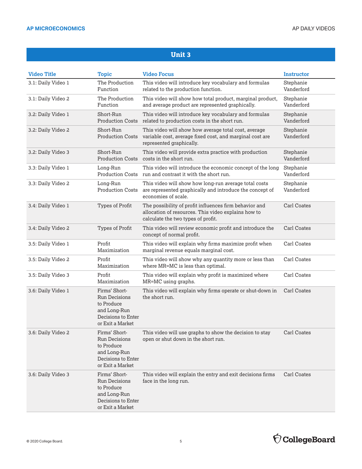| <b>Video Title</b> | <b>Topic</b>                                                                                                  | <b>Video Focus</b>                                                                                                                                  | <b>Instructor</b>       |
|--------------------|---------------------------------------------------------------------------------------------------------------|-----------------------------------------------------------------------------------------------------------------------------------------------------|-------------------------|
| 3.1: Daily Video 1 | The Production<br>Function                                                                                    | This video will introduce key vocabulary and formulas<br>related to the production function.                                                        | Stephanie<br>Vanderford |
| 3.1: Daily Video 2 | The Production<br>Function                                                                                    | This video will show how total product, marginal product,<br>and average product are represented graphically.                                       | Stephanie<br>Vanderford |
| 3.2: Daily Video 1 | Short-Run<br><b>Production Costs</b>                                                                          | This video will introduce key vocabulary and formulas<br>related to production costs in the short run.                                              | Stephanie<br>Vanderford |
| 3.2: Daily Video 2 | Short-Run<br><b>Production Costs</b>                                                                          | This video will show how average total cost, average<br>variable cost, average fixed cost, and marginal cost are<br>represented graphically.        | Stephanie<br>Vanderford |
| 3.2: Daily Video 3 | Short-Run<br><b>Production Costs</b>                                                                          | This video will provide extra practice with production<br>costs in the short run.                                                                   | Stephanie<br>Vanderford |
| 3.3: Daily Video 1 | Long-Run                                                                                                      | This video will introduce the economic concept of the long<br>Production Costs run and contrast it with the short run.                              | Stephanie<br>Vanderford |
| 3.3: Daily Video 2 | Long-Run<br><b>Production Costs</b>                                                                           | This video will show how long-run average total costs<br>are represented graphically and introduce the concept of<br>economies of scale.            | Stephanie<br>Vanderford |
| 3.4: Daily Video 1 | Types of Profit                                                                                               | The possibility of profit influences firm behavior and<br>allocation of resources. This video explains how to<br>calculate the two types of profit. | <b>Carl Coates</b>      |
| 3.4: Daily Video 2 | Types of Profit                                                                                               | This video will review economic profit and introduce the<br>concept of normal profit.                                                               | Carl Coates             |
| 3.5: Daily Video 1 | Profit<br>Maximization                                                                                        | This video will explain why firms maximize profit when<br>marginal revenue equals marginal cost.                                                    | Carl Coates             |
| 3.5: Daily Video 2 | Profit<br>Maximization                                                                                        | This video will show why any quantity more or less than<br>where MR=MC is less than optimal.                                                        | Carl Coates             |
| 3.5: Daily Video 3 | Profit<br>Maximization                                                                                        | This video will explain why profit is maximized where<br>MR=MC using graphs.                                                                        | Carl Coates             |
| 3.6: Daily Video 1 | Firms' Short-<br><b>Run Decisions</b><br>to Produce<br>and Long-Run<br>Decisions to Enter<br>or Exit a Market | This video will explain why firms operate or shut-down in<br>the short run.                                                                         | Carl Coates             |
| 3.6: Daily Video 2 | Firms' Short-<br>Run Decisions<br>to Produce<br>and Long-Run<br>Decisions to Enter<br>or Exit a Market        | This video will use graphs to show the decision to stay<br>open or shut down in the short run.                                                      | Carl Coates             |
| 3.6: Daily Video 3 | Firms' Short-<br><b>Run Decisions</b><br>to Produce<br>and Long-Run<br>Decisions to Enter<br>or Exit a Market | This video will explain the entry and exit decisions firms<br>face in the long run.                                                                 | Carl Coates             |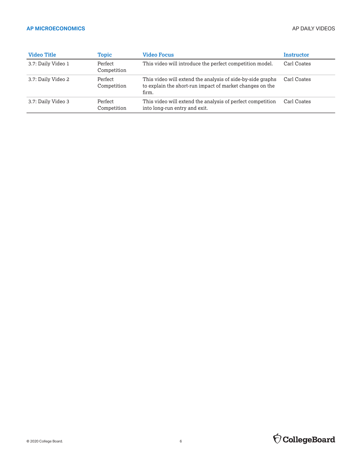#### **AP MICROECONOMICS** AP DAILY VIDEOS

| <b>Video Title</b> | Topic                  | <b>Video Focus</b>                                                                                                              | Instructor  |
|--------------------|------------------------|---------------------------------------------------------------------------------------------------------------------------------|-------------|
| 3.7: Daily Video 1 | Perfect<br>Competition | This video will introduce the perfect competition model.                                                                        | Carl Coates |
| 3.7: Daily Video 2 | Perfect<br>Competition | This video will extend the analysis of side-by-side graphs<br>to explain the short-run impact of market changes on the<br>firm. | Carl Coates |
| 3.7: Daily Video 3 | Perfect<br>Competition | This video will extend the analysis of perfect competition<br>into long-run entry and exit.                                     | Carl Coates |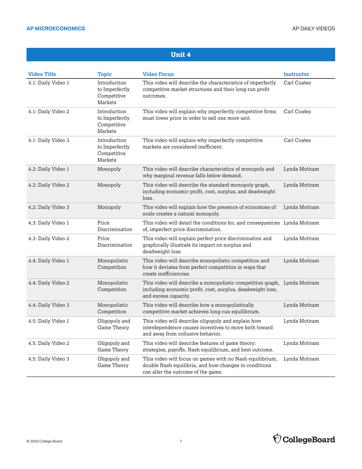| <b>Video Title</b> | <b>Topic</b>                                             | <b>Video Focus</b>                                                                                                                                             | Instructor    |
|--------------------|----------------------------------------------------------|----------------------------------------------------------------------------------------------------------------------------------------------------------------|---------------|
| 4.1: Daily Video 1 | Introduction<br>to Imperfectly<br>Competitive<br>Markets | This video will describe the characteristics of imperfectly<br>competitive market structures and their long-run profit<br>outcomes.                            | Carl Coates   |
| 4.1: Daily Video 2 | Introduction<br>to Imperfectly<br>Competitive<br>Markets | This video will explain why imperfectly competitive firms<br>must lower price in order to sell one more unit.                                                  | Carl Coates   |
| 4.1: Daily Video 3 | Introduction<br>to Imperfectly<br>Competitive<br>Markets | This video will explain why imperfectly competitive<br>markets are considered inefficient.                                                                     | Carl Coates   |
| 4.2: Daily Video 1 | Monopoly                                                 | This video will describe characteristics of monopoly and<br>why marginal revenue falls below demand.                                                           | Lynda Motiram |
| 4.2: Daily Video 2 | Monopoly                                                 | This video will describe the standard monopoly graph,<br>including economic profit, cost, surplus, and deadweight<br>loss.                                     | Lynda Motiram |
| 4.2: Daily Video 3 | Monopoly                                                 | This video will explain how the presence of economies of<br>scale creates a natural monopoly.                                                                  | Lynda Motiram |
| 4.3: Daily Video 1 | Price<br>Discrimination                                  | This video will detail the conditions for, and consequences Lynda Motiram<br>of, imperfect price discrimination.                                               |               |
| 4.3: Daily Video 2 | Price<br>Discrimination                                  | This video will explain perfect price discrimination and<br>graphically illustrate its impact on surplus and<br>deadweight loss.                               | Lynda Motiram |
| 4.4: Daily Video 1 | Monopolistic<br>Competition                              | This video will describe monopolistic competition and<br>how it deviates from perfect competition in ways that<br>create inefficiencies.                       | Lynda Motiram |
| 4.4: Daily Video 2 | Monopolistic<br>Competition                              | This video will describe a monopolistic competition graph, Lynda Motiram<br>including economic profit, cost, surplus, deadweight loss,<br>and excess capacity. |               |
| 4.4: Daily Video 3 | Monopolistic<br>Competition                              | This video will describe how a monopolistically<br>competitive market achieves long-run equilibrium.                                                           | Lynda Motiram |
| 4.5: Daily Video 1 | Oligopoly and<br><b>Game Theory</b>                      | This video will describe oligopoly and explain how<br>interdependence causes incentives to move both toward<br>and away from collusive behavior.               | Lynda Motiram |
| 4.5: Daily Video 2 | Oligopoly and<br>Game Theory                             | This video will describe features of game theory:<br>strategies, payoffs, Nash equilibrium, and best outcome.                                                  | Lynda Motiram |
| 4.5: Daily Video 3 | Oligopoly and<br><b>Game Theory</b>                      | This video will focus on games with no Nash equilibrium,<br>double Nash equilibria, and how changes in conditions<br>can alter the outcome of the game.        | Lynda Motiram |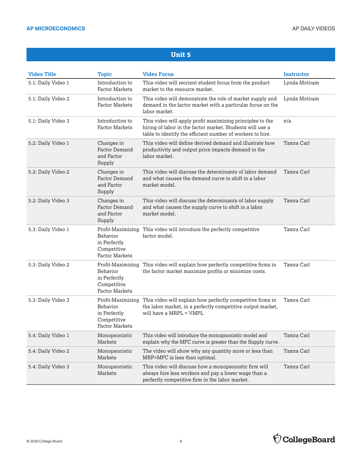| <b>Video Title</b> | <b>Topic</b>                                                     | <b>Video Focus</b>                                                                                                                                                                   | <b>Instructor</b> |
|--------------------|------------------------------------------------------------------|--------------------------------------------------------------------------------------------------------------------------------------------------------------------------------------|-------------------|
| 5.1: Daily Video 1 | Introduction to<br><b>Factor Markets</b>                         | This video will reorient student focus from the product<br>market to the resource market.                                                                                            | Lynda Motiram     |
| 5.1: Daily Video 2 | Introduction to<br><b>Factor Markets</b>                         | This video will demonstrate the role of market supply and<br>demand in the factor market with a particular focus on the<br>labor market.                                             | Lynda Motiram     |
| 5.1: Daily Video 3 | Introduction to<br><b>Factor Markets</b>                         | This video will apply profit maximizing principles to the<br>hiring of labor in the factor market. Students will use a<br>table to identify the efficient number of workers to hire. | n/a               |
| 5.2: Daily Video 1 | Changes in<br><b>Factor Demand</b><br>and Factor<br>Supply       | This video will define derived demand and illustrate how<br>productivity and output price impacts demand in the<br>labor market.                                                     | Tamra Carl        |
| 5.2: Daily Video 2 | Changes in<br><b>Factor Demand</b><br>and Factor<br>Supply       | This video will discuss the determinants of labor demand<br>and what causes the demand curve to shift in a labor<br>market model.                                                    | Tamra Carl        |
| 5.2: Daily Video 3 | Changes in<br><b>Factor Demand</b><br>and Factor<br>Supply       | This video will discuss the determinants of labor supply<br>and what causes the supply curve to shift in a labor<br>market model.                                                    | Tamra Carl        |
| 5.3: Daily Video 1 | Behavior<br>in Perfectly<br>Competitive<br><b>Factor Markets</b> | Profit-Maximizing This video will introduce the perfectly competitive<br>factor model.                                                                                               | Tamra Carl        |
| 5.3: Daily Video 2 | Behavior<br>in Perfectly<br>Competitive<br><b>Factor Markets</b> | Profit-Maximizing This video will explain how perfectly competitive firms in<br>the factor market maximize profits or minimize costs.                                                | Tamra Carl        |
| 5.3: Daily Video 3 | Behavior<br>in Perfectly<br>Competitive<br><b>Factor Markets</b> | Profit-Maximizing This video will explain how perfectly competitive firms in<br>the labor market, in a perfectly competitive output market,<br>will have a MRPL = VMPL               | Tamra Carl        |
| 5.4: Daily Video 1 | Monopsonistic<br>Markets                                         | This video will introduce the monopsonistic model and<br>explain why the MFC curve is greater than the Supply curve.                                                                 | Tamra Carl        |
| 5.4: Daily Video 2 | Monopsonistic<br>Markets                                         | The video will show why any quantity more or less than<br>MRP=MFC is less than optimal.                                                                                              | Tamra Carl        |
| 5.4: Daily Video 3 | Monopsonistic<br>Markets                                         | This video will discuss how a monopsonistic firm will<br>always hire less workers and pay a lower wage than a<br>perfectly competitive firm in the labor market.                     | Tamra Carl        |